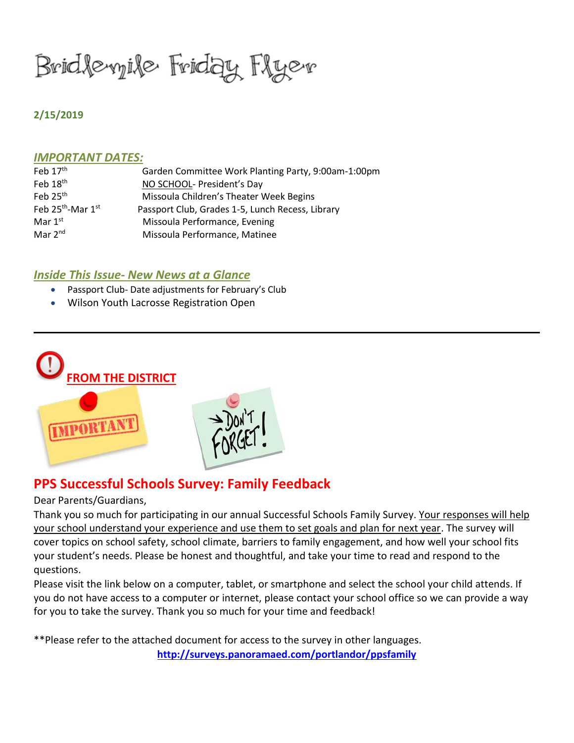Bridlevyile Friday Flyev

#### **2/15/2019**

#### *IMPORTANT DATES:*

| Feb $17th$                    | Garden Committee Work Planting Party, 9:00am-1:00pm |
|-------------------------------|-----------------------------------------------------|
| Feb $18th$                    | NO SCHOOL- President's Day                          |
| Feb $25th$                    | Missoula Children's Theater Week Begins             |
| Feb 25 <sup>th</sup> -Mar 1st | Passport Club, Grades 1-5, Lunch Recess, Library    |
| Mar $1st$                     | Missoula Performance, Evening                       |
| Mar $2^{nd}$                  | Missoula Performance, Matinee                       |

### *Inside This Issue- New News at a Glance*

- Passport Club- Date adjustments for February's Club
- Wilson Youth Lacrosse Registration Open



# **PPS Successful Schools Survey: Family Feedback**

Dear Parents/Guardians,

Thank you so much for participating in our annual Successful Schools Family Survey. Your responses will help your school understand your experience and use them to set goals and plan for next year. The survey will cover topics on school safety, school climate, barriers to family engagement, and how well your school fits your student's needs. Please be honest and thoughtful, and take your time to read and respond to the questions.

Please visit the link below on a computer, tablet, or smartphone and select the school your child attends. If you do not have access to a computer or internet, please contact your school office so we can provide a way for you to take the survey. Thank you so much for your time and feedback!

\*\*Please refer to the attached document for access to the survey in other languages. **<http://surveys.panoramaed.com/portlandor/ppsfamily>**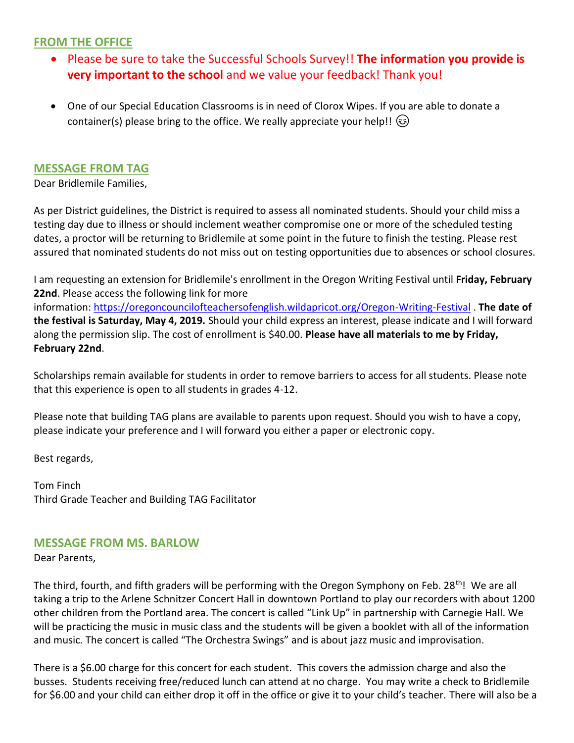## **FROM THE OFFICE**

- Please be sure to take the Successful Schools Survey!! **The information you provide is very important to the school** and we value your feedback! Thank you!
- One of our Special Education Classrooms is in need of Clorox Wipes. If you are able to donate a container(s) please bring to the office. We really appreciate your help!! (3)

### **MESSAGE FROM TAG**

Dear Bridlemile Families,

As per District guidelines, the District is required to assess all nominated students. Should your child miss a testing day due to illness or should inclement weather compromise one or more of the scheduled testing dates, a proctor will be returning to Bridlemile at some point in the future to finish the testing. Please rest assured that nominated students do not miss out on testing opportunities due to absences or school closures.

I am requesting an extension for Bridlemile's enrollment in the Oregon Writing Festival until **Friday, February 22nd**. Please access the following link for more information: <https://oregoncouncilofteachersofenglish.wildapricot.org/Oregon-Writing-Festival> . **The date of the festival is Saturday, May 4, 2019.** Should your child express an interest, please indicate and I will forward along the permission slip. The cost of enrollment is \$40.00. **Please have all materials to me by Friday, February 22nd**.

Scholarships remain available for students in order to remove barriers to access for all students. Please note that this experience is open to all students in grades 4-12.

Please note that building TAG plans are available to parents upon request. Should you wish to have a copy, please indicate your preference and I will forward you either a paper or electronic copy.

Best regards,

Tom Finch Third Grade Teacher and Building TAG Facilitator

## **MESSAGE FROM MS. BARLOW**

Dear Parents,

The third, fourth, and fifth graders will be performing with the Oregon Symphony on Feb. 28<sup>th</sup>! We are all taking a trip to the Arlene Schnitzer Concert Hall in downtown Portland to play our recorders with about 1200 other children from the Portland area. The concert is called "Link Up" in partnership with Carnegie Hall. We will be practicing the music in music class and the students will be given a booklet with all of the information and music. The concert is called "The Orchestra Swings" and is about jazz music and improvisation.

There is a \$6.00 charge for this concert for each student. This covers the admission charge and also the busses. Students receiving free/reduced lunch can attend at no charge. You may write a check to Bridlemile for \$6.00 and your child can either drop it off in the office or give it to your child's teacher. There will also be a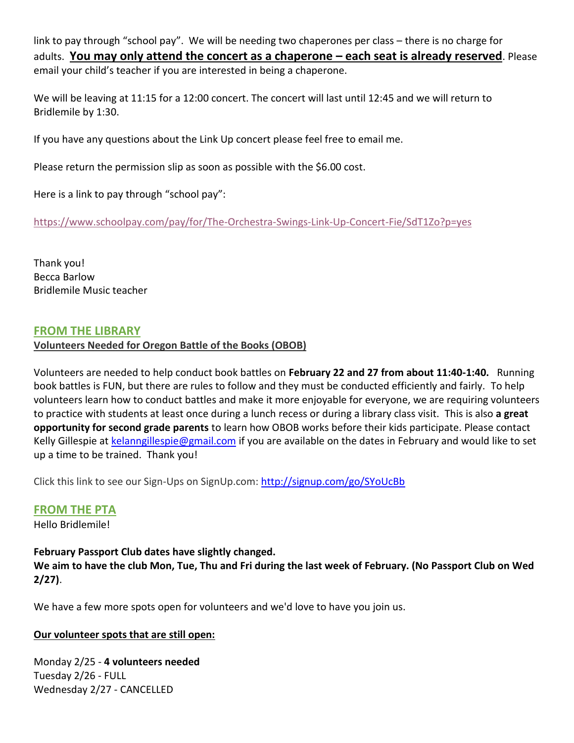link to pay through "school pay". We will be needing two chaperones per class – there is no charge for adults. **You may only attend the concert as a chaperone – each seat is already reserved**. Please email your child's teacher if you are interested in being a chaperone.

We will be leaving at 11:15 for a 12:00 concert. The concert will last until 12:45 and we will return to Bridlemile by 1:30.

If you have any questions about the Link Up concert please feel free to email me.

Please return the permission slip as soon as possible with the \$6.00 cost.

Here is a link to pay through "school pay":

<https://www.schoolpay.com/pay/for/The-Orchestra-Swings-Link-Up-Concert-Fie/SdT1Zo?p=yes>

Thank you! Becca Barlow Bridlemile Music teacher

### **FROM THE LIBRARY**

### **Volunteers Needed for Oregon Battle of the Books (OBOB)**

Volunteers are needed to help conduct book battles on **February 22 and 27 from about 11:40-1:40.** Running book battles is FUN, but there are rules to follow and they must be conducted efficiently and fairly. To help volunteers learn how to conduct battles and make it more enjoyable for everyone, we are requiring volunteers to practice with students at least once during a lunch recess or during a library class visit. This is also **a great opportunity for second grade parents** to learn how OBOB works before their kids participate. Please contact Kelly Gillespie at [kelanngillespie@gmail.com](mailto:kelanngillespie@gmail.com) if you are available on the dates in February and would like to set up a time to be trained. Thank you!

Click this link to see our Sign-Ups on SignUp.com: <http://signup.com/go/SYoUcBb>

### **FROM THE PTA**

Hello Bridlemile!

**February Passport Club dates have slightly changed. We aim to have the club Mon, Tue, Thu and Fri during the last week of February. (No Passport Club on Wed 2/27)**.

We have a few more spots open for volunteers and we'd love to have you join us.

### **Our volunteer spots that are still open:**

Monday 2/25 - **4 volunteers needed** Tuesday 2/26 - FULL Wednesday 2/27 - CANCELLED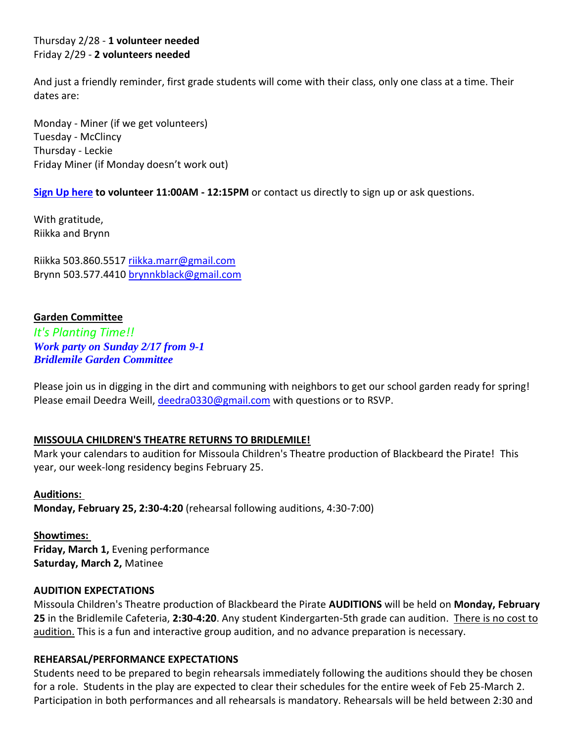### Thursday 2/28 - **1 volunteer needed** Friday 2/29 - **2 volunteers needed**

And just a friendly reminder, first grade students will come with their class, only one class at a time. Their dates are:

Monday - Miner (if we get volunteers) Tuesday - McClincy Thursday - Leckie Friday Miner (if Monday doesn't work out)

**[Sign Up here](http://signup.com/go/e5n5fH) to volunteer 11:00AM - 12:15PM** or contact us directly to sign up or ask questions.

With gratitude, Riikka and Brynn

Riikka 503.860.5517 [riikka.marr@gmail.com](mailto:riikka.marr@gmail.com) Brynn 503.577.4410 [brynnkblack@gmail.com](mailto:brynnkblack@gmail.com)

### **Garden Committee**

*It's Planting Time!! Work party on Sunday 2/17 from 9-1 Bridlemile Garden Committee*

Please join us in digging in the dirt and communing with neighbors to get our school garden ready for spring! Please email Deedra Weill, [deedra0330@gmail.com](mailto:deedra0330@gmail.com) with questions or to RSVP.

### **MISSOULA CHILDREN'S THEATRE RETURNS TO BRIDLEMILE!**

Mark your calendars to audition for Missoula Children's Theatre production of Blackbeard the Pirate! This year, our week-long residency begins February 25.

**Auditions: Monday, February 25, 2:30-4:20** (rehearsal following auditions, 4:30-7:00)

**Showtimes: Friday, March 1,** Evening performance **Saturday, March 2,** Matinee

### **AUDITION EXPECTATIONS**

Missoula Children's Theatre production of Blackbeard the Pirate **AUDITIONS** will be held on **Monday, February 25** in the Bridlemile Cafeteria, **2:30-4:20**. Any student Kindergarten-5th grade can audition. There is no cost to audition. This is a fun and interactive group audition, and no advance preparation is necessary.

#### **REHEARSAL/PERFORMANCE EXPECTATIONS**

Students need to be prepared to begin rehearsals immediately following the auditions should they be chosen for a role. Students in the play are expected to clear their schedules for the entire week of Feb 25-March 2. Participation in both performances and all rehearsals is mandatory. Rehearsals will be held between 2:30 and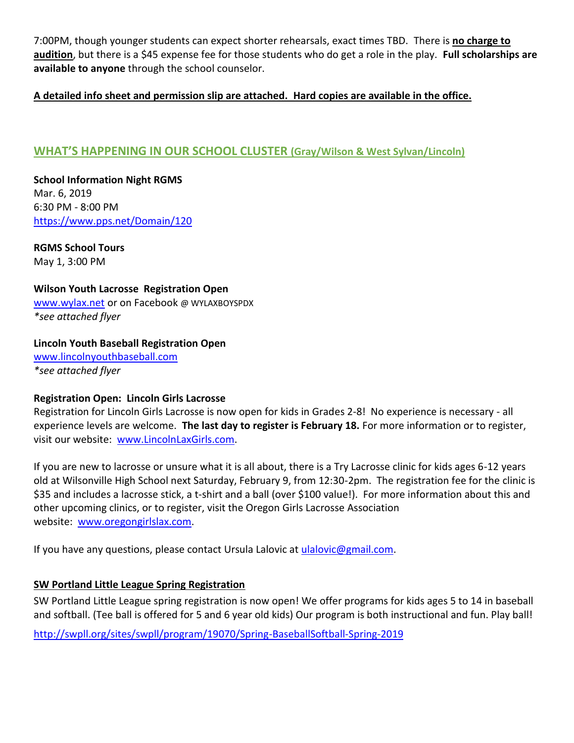7:00PM, though younger students can expect shorter rehearsals, exact times TBD. There is **no charge to audition**, but there is a \$45 expense fee for those students who do get a role in the play. **Full scholarships are available to anyone** through the school counselor.

### **A detailed info sheet and permission slip are attached. Hard copies are available in the office.**

# **WHAT'S HAPPENING IN OUR SCHOOL CLUSTER (Gray/Wilson & West Sylvan/Lincoln)**

**School Information Night RGMS** Mar. 6, 2019 6:30 PM - 8:00 PM <https://www.pps.net/Domain/120>

**RGMS School Tours** May 1, 3:00 PM

**Wilson Youth Lacrosse Registration Open**  [www.wylax.net](http://www.wylax.net/) or on Facebook @ WYLAXBOYSPDX *\*see attached flyer*

### **Lincoln Youth Baseball Registration Open**

[www.lincolnyouthbaseball.com](http://www.lincolnyouthbaseball.com/) *\*see attached flyer*

### **Registration Open: Lincoln Girls Lacrosse**

Registration for Lincoln Girls Lacrosse is now open for kids in Grades 2-8! No experience is necessary - all experience levels are welcome. **The last day to register is February 18.** For more information or to register, visit our website: [www.LincolnLaxGirls.com.](http://www.lincolnlaxgirls.com/)

If you are new to lacrosse or unsure what it is all about, there is a Try Lacrosse clinic for kids ages 6-12 years old at Wilsonville High School next Saturday, February 9, from 12:30-2pm. The registration fee for the clinic is \$35 and includes a lacrosse stick, a t-shirt and a ball (over \$100 value!). For more information about this and other upcoming clinics, or to register, visit the Oregon Girls Lacrosse Association website: [www.oregongirlslax.com.](http://oregongirlslax.com/)

If you have any questions, please contact Ursula Lalovic at [ulalovic@gmail.com.](mailto:ulalovic@gmail.com)

### **[SW Portland Little League Spring Registration](https://nextdoor.com/news_feed/?post=73749094)**

SW Portland Little League spring registration is now open! We offer programs for kids ages 5 to 14 in baseball and softball. (Tee ball is offered for 5 and 6 year old kids) Our program is both instructional and fun. Play ball! <http://swpll.org/sites/swpll/program/19070/Spring-BaseballSoftball-Spring-2019>